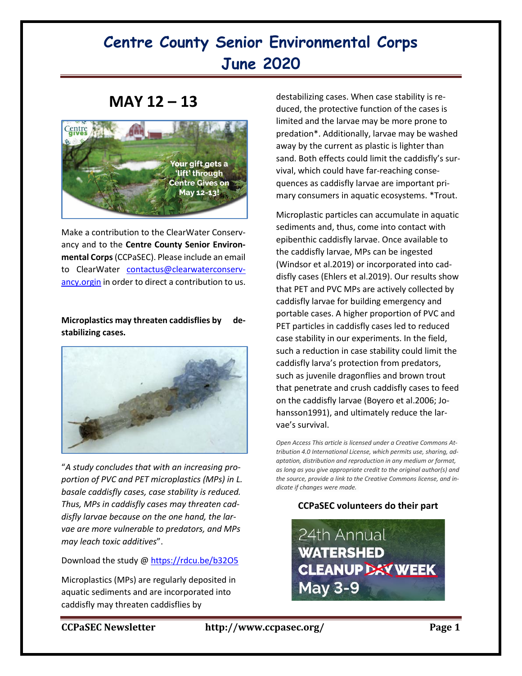# **Centre County Senior Environmental Corps June 2020**

### **MAY 12 – 13**



Make a contribution to the ClearWater Conservancy and to the **Centre County Senior Environmental Corps**(CCPaSEC). Please include an email to ClearWater [contactus@clearwaterconserv](mailto:contactus@clearwaterconservancy.orgin)[ancy.orgin](mailto:contactus@clearwaterconservancy.orgin) in order to direct a contribution to us.

### **Microplastics may threaten caddisflies by destabilizing cases.**



"*A study concludes that with an increasing proportion of PVC and PET microplastics (MPs) in L. basale caddisfly cases, case stability is reduced. Thus, MPs in caddisfly cases may threaten caddisfly larvae because on the one hand, the larvae are more vulnerable to predators, and MPs may leach toxic additives*".

Download the study @<https://rdcu.be/b32O5>

Microplastics (MPs) are regularly deposited in aquatic sediments and are incorporated into caddisfly may threaten caddisflies by

destabilizing cases. When case stability is reduced, the protective function of the cases is limited and the larvae may be more prone to predation\*. Additionally, larvae may be washed away by the current as plastic is lighter than sand. Both effects could limit the caddisfly's survival, which could have far-reaching consequences as caddisfly larvae are important primary consumers in aquatic ecosystems. \*Trout.

Microplastic particles can accumulate in aquatic sediments and, thus, come into contact with epibenthic caddisfly larvae. Once available to the caddisfly larvae, MPs can be ingested (Windsor et al.2019) or incorporated into caddisfly cases (Ehlers et al.2019). Our results show that PET and PVC MPs are actively collected by caddisfly larvae for building emergency and portable cases. A higher proportion of PVC and PET particles in caddisfly cases led to reduced case stability in our experiments. In the field, such a reduction in case stability could limit the caddisfly larva's protection from predators, such as juvenile dragonflies and brown trout that penetrate and crush caddisfly cases to feed on the caddisfly larvae (Boyero et al.2006; Johansson1991), and ultimately reduce the larvae's survival.

*Open Access This article is licensed under a Creative Commons Attribution 4.0 International License, which permits use, sharing, adaptation, distribution and reproduction in any medium or format, as long as you give appropriate credit to the original author(s) and the source, provide a link to the Creative Commons license, and indicate if changes were made.*

### **CCPaSEC volunteers do their part**

24th Annual **WATERSHED CLEANUP DAY WEEK May 3-9**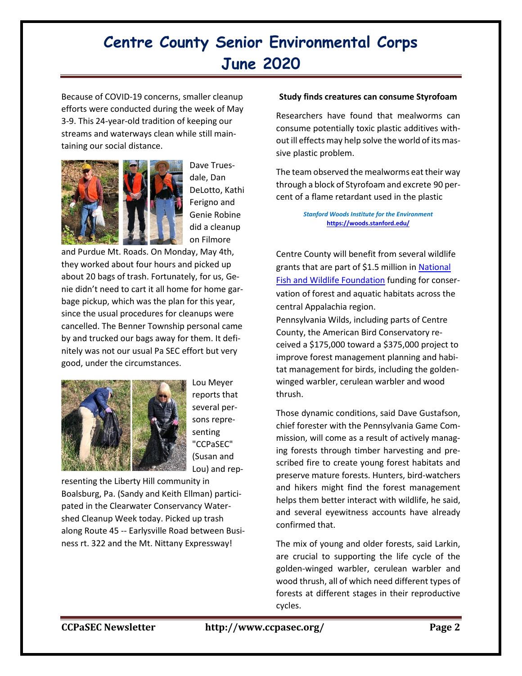## **Centre County Senior Environmental Corps June 2020**

Because of COVID-19 concerns, smaller cleanup efforts were conducted during the week of May 3-9. This 24-year-old tradition of keeping our streams and waterways clean while still maintaining our social distance.



Dave Truesdale, Dan DeLotto, Kathi Ferigno and Genie Robine did a cleanup on Filmore

and Purdue Mt. Roads. On Monday, May 4th, they worked about four hours and picked up about 20 bags of trash. Fortunately, for us, Genie didn't need to cart it all home for home garbage pickup, which was the plan for this year, since the usual procedures for cleanups were cancelled. The Benner Township personal came by and trucked our bags away for them. It definitely was not our usual Pa SEC effort but very good, under the circumstances.



Lou Meyer reports that several persons representing "CCPaSEC" (Susan and Lou) and rep-

resenting the Liberty Hill community in Boalsburg, Pa. (Sandy and Keith Ellman) participated in the Clearwater Conservancy Watershed Cleanup Week today. Picked up trash along Route 45 -- Earlysville Road between Business rt. 322 and the Mt. Nittany Expressway!

#### **Study finds creatures can consume Styrofoam**

Researchers have found that mealworms can consume potentially toxic plastic additives without ill effects may help solve the world of its massive plastic problem.

The team observed the mealworms eat their way through a block of Styrofoam and excrete 90 percent of a flame retardant used in the plastic

> *Stanford Woods Institute for the Environment* **<https://woods.stanford.edu/>**

Centre County will benefit from several wildlife grants that are part of \$1.5 million in [National](https://www.nfwf.org/whoweare/mediacenter/pr/Pages/nfwf-announces-third-year-of-grants-from-central-appalachia-habitat-stewardship-program-2019-1210.aspx)  [Fish and Wildlife Foundation](https://www.nfwf.org/whoweare/mediacenter/pr/Pages/nfwf-announces-third-year-of-grants-from-central-appalachia-habitat-stewardship-program-2019-1210.aspx) funding for conservation of forest and aquatic habitats across the central Appalachia region.

Pennsylvania Wilds, including parts of Centre County, the American Bird Conservatory received a \$175,000 toward a \$375,000 project to improve forest management planning and habitat management for birds, including the goldenwinged warbler, cerulean warbler and wood thrush.

Those dynamic conditions, said Dave Gustafson, chief forester with the Pennsylvania Game Commission, will come as a result of actively managing forests through timber harvesting and prescribed fire to create young forest habitats and preserve mature forests. Hunters, bird-watchers and hikers might find the forest management helps them better interact with wildlife, he said, and several eyewitness accounts have already confirmed that.

The mix of young and older forests, said Larkin, are crucial to supporting the life cycle of the golden-winged warbler, cerulean warbler and wood thrush, all of which need different types of forests at different stages in their reproductive cycles.